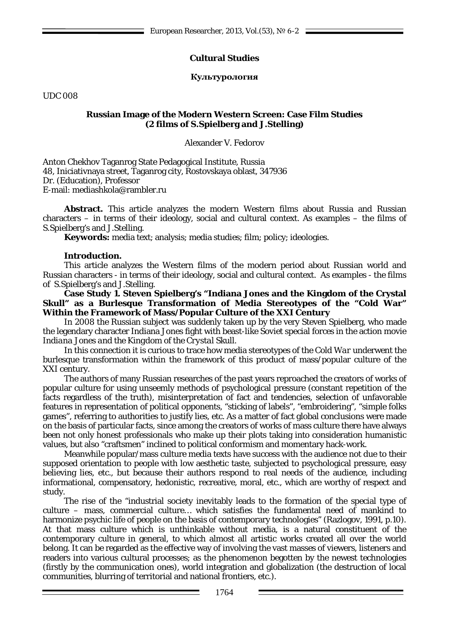# **Cultural Studies**

# **Культурология**

UDC 008

# **Russian Image of the Modern Western Screen: Case Film Studies (2 films of S.Spielberg and J.Stelling)**

Alexander V. Fedorov

Anton Chekhov Taganrog State Pedagogical Institute, Russia 48, Iniciativnaya street, Taganrog city, Rostovskaya oblast, 347936 Dr. (Education), Professor E-mail: [mediashkola@rambler.ru](mailto:mediashkola@rambler.ru)

**Abstract.** This article analyzes the modern Western films about Russia and Russian characters – in terms of their ideology, social and cultural context. As examples – the films of S.Spielberg's and J.Stelling.

**Keywords:** media text; analysis; media studies; film; policy; ideologies.

### **Introduction.**

This article analyzes the Western films of the modern period about Russian world and Russian characters - in terms of their ideology, social and cultural context. As examples - the films of S.Spielberg's and J.Stelling.

### **Case Study 1. Steven Spielberg's "Indiana Jones and the Kingdom of the Crystal Skull" as a Burlesque Transformation of Media Stereotypes of the "Cold War" Within the Framework of Mass/Popular Culture of the XXI Century**

In 2008 the Russian subject was suddenly taken up by the very Steven Spielberg, who made the legendary character Indiana Jones fight with beast-like Soviet special forces in the action movie *Indiana Jones and the Kingdom of the Crystal Skull.* 

In this connection it is curious to trace how media stereotypes of the *Cold War* underwent the burlesque transformation within the framework of this product of mass/popular culture of the XXI century.

The authors of many Russian researches of the past years reproached the creators of works of popular culture for using unseemly methods of psychological pressure (constant repetition of the facts regardless of the truth), misinterpretation of fact and tendencies, selection of unfavorable features in representation of political opponents, "sticking of labels", "embroidering", "simple folks games", referring to authorities to justify lies, etc. As a matter of fact global conclusions were made on the basis of particular facts, since among the creators of works of mass culture there have always been not only honest professionals who make up their plots taking into consideration humanistic values, but also "craftsmen" inclined to political conformism and momentary hack-work.

Meanwhile popular/mass culture media texts have success with the audience not due to their supposed orientation to people with low aesthetic taste, subjected to psychological pressure, easy believing lies, etc., but because their authors respond to real needs of the audience, including informational, compensatory, hedonistic, recreative, moral, etc., which are worthy of respect and study.

The rise of the "industrial society inevitably leads to the formation of the special type of culture – mass, commercial culture… which satisfies the fundamental need of mankind to harmonize psychic life of people on the basis of contemporary technologies" (Razlogov, 1991, p.10). At that mass culture which is unthinkable without media, is a natural constituent of the contemporary culture in general, to which almost all artistic works created all over the world belong. It can be regarded as the effective way of involving the vast masses of viewers, listeners and readers into various cultural processes; as the phenomenon begotten by the newest technologies (firstly by the communication ones), world integration and globalization (the destruction of local communities, blurring of territorial and national frontiers, etc.).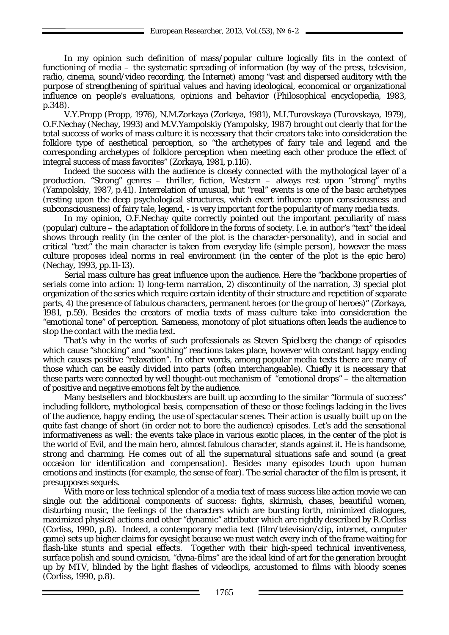In my opinion such definition of mass/popular culture logically fits in the context of functioning of media – the systematic spreading of information (by way of the press, television, radio, cinema, sound/video recording, the Internet) among "vast and dispersed auditory with the purpose of strengthening of spiritual values and having ideological, economical or organizational influence on people's evaluations, opinions and behavior (Philosophical encyclopedia, 1983, p.348).

V.Y.Propp (Propp, 1976), N.M.Zorkaya (Zorkaya, 1981), M.I.Turovskaya (Turovskaya, 1979), O.F.Nechay (Nechay, 1993) and M.V.Yampolskiy (Yampolsky, 1987) brought out clearly that for the total success of works of mass culture it is necessary that their creators take into consideration the folklore type of aesthetical perception, so "the archetypes of fairy tale and legend and the corresponding archetypes of folklore perception when meeting each other produce the effect of integral success of mass favorites" (Zorkaya, 1981, p.116).

Indeed the success with the audience is closely connected with the mythological layer of a production. "Strong" genres - thriller, fiction, Western - always rest upon "strong" myths (Yampolskiy, 1987, p.41). Interrelation of unusual, but "real" events is one of the basic archetypes (resting upon the deep psychological structures, which exert influence upon consciousness and subconsciousness) of fairy tale, legend, - is very important for the popularity of many media texts.

In my opinion, O.F.Nechay quite correctly pointed out the important peculiarity of mass (popular) culture – the adaptation of folklore in the forms of society. I.e. in author's "text" the ideal shows through reality (in the center of the plot is the character-personality), and in social and critical "text" the main character is taken from everyday life (simple person), however the mass culture proposes ideal norms in real environment (in the center of the plot is the epic hero) (Nechay, 1993, pp.11-13).

Serial mass culture has great influence upon the audience. Here the "backbone properties of serials come into action: 1) long-term narration, 2) discontinuity of the narration, 3) special plot organization of the series which require certain identity of their structure and repetition of separate parts, 4) the presence of fabulous characters, permanent heroes (or the group of heroes)" (Zorkaya, 1981, p.59). Besides the creators of media texts of mass culture take into consideration the "emotional tone" of perception. Sameness, monotony of plot situations often leads the audience to stop the contact with the media text.

That's why in the works of such professionals as Steven Spielberg the change of episodes which cause "shocking" and "soothing" reactions takes place, however with constant happy ending which causes positive "relaxation". In other words, among popular media texts there are many of those which can be easily divided into parts (often interchangeable). Chiefly it is necessary that these parts were connected by well thought-out mechanism of "emotional drops" – the alternation of positive and negative emotions felt by the audience.

Many bestsellers and blockbusters are built up according to the similar "formula of success" including folklore, mythological basis, compensation of these or those feelings lacking in the lives of the audience, happy ending, the use of spectacular scenes. Their action is usually built up on the quite fast change of short (in order not to bore the audience) episodes. Let's add the sensational informativeness as well: the events take place in various exotic places, in the center of the plot is the world of Evil, and the main hero, almost fabulous character, stands against it. He is handsome, strong and charming. He comes out of all the supernatural situations safe and sound (a great occasion for identification and compensation). Besides many episodes touch upon human emotions and instincts (for example, the sense of fear). The serial character of the film is present, it presupposes sequels.

With more or less technical splendor of a media text of mass success like action movie we can single out the additional components of success: fights, skirmish, chases, beautiful women, disturbing music, the feelings of the characters which are bursting forth, minimized dialogues, maximized physical actions and other "dynamic" attributer which are rightly described by R.Corliss (Corliss, 1990, p.8). Indeed, a contemporary media text (film/television/clip, internet, computer game) sets up higher claims for eyesight because we must watch every inch of the frame waiting for flash-like stunts and special effects. Together with their high-speed technical inventiveness, surface polish and sound cynicism, "dyna-films" are the ideal kind of art for the generation brought up by MTV, blinded by the light flashes of videoclips, accustomed to films with bloody scenes (Corliss, 1990, p.8).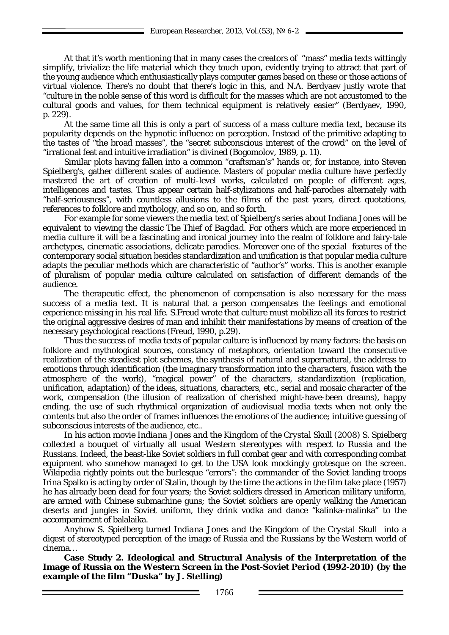At that it's worth mentioning that in many cases the creators of "mass" media texts wittingly simplify, trivialize the life material which they touch upon, evidently trying to attract that part of the young audience which enthusiastically plays computer games based on these or those actions of virtual violence. There's no doubt that there's logic in this, and N.A. Berdyaev justly wrote that "culture in the noble sense of this word is difficult for the masses which are not accustomed to the cultural goods and values, for them technical equipment is relatively easier" (Berdyaev, 1990, p. 229).

At the same time all this is only a part of success of a mass culture media text, because its popularity depends on the hypnotic influence on perception. Instead of the primitive adapting to the tastes of "the broad masses", the "secret subconscious interest of the crowd" on the level of "irrational feat and intuitive irradiation" is divined (Bogomolov, 1989, p. 11).

Similar plots having fallen into a common "craftsman's" hands or, for instance, into Steven Spielberg's, gather different scales of audience. Masters of popular media culture have perfectly mastered the art of creation of multi-level works, calculated on people of different ages, intelligences and tastes. Thus appear certain half-stylizations and half-parodies alternately with "half-seriousness", with countless allusions to the films of the past years, direct quotations, references to folklore and mythology, and so on, and so forth.

For example for some viewers the *media text* of Spielberg's series about Indiana Jones will be equivalent to viewing the classic *The Thief of Bagdad.* For others which are more experienced in media culture it will be a fascinating and ironical journey into the realm of folklore and fairy-tale archetypes, cinematic associations, delicate parodies. Moreover one of the special features of the contemporary social situation besides standardization and unification is that popular media culture adapts the peculiar methods which are characteristic of "author's" works. This is another example of pluralism of popular media culture calculated on satisfaction of different demands of the audience.

The therapeutic effect, the phenomenon of compensation is also necessary for the mass success of a media text. It is natural that a person compensates the feelings and emotional experience missing in his real life. S.Freud wrote that culture must mobilize all its forces to restrict the original aggressive desires of man and inhibit their manifestations by means of creation of the necessary psychological reactions (Freud, 1990, p.29).

Thus the success of media texts of popular culture is influenced by many factors: the basis on folklore and mythological sources, constancy of metaphors, orientation toward the consecutive realization of the steadiest plot schemes, the synthesis of natural and supernatural, the address to emotions through identification (the imaginary transformation into the characters, fusion with the atmosphere of the work), "magical power" of the characters, standardization (replication, unification, adaptation) of the ideas, situations, characters, etc., serial and mosaic character of the work, compensation (the illusion of realization of cherished might-have-been dreams), happy ending, the use of such rhythmical organization of audiovisual media texts when not only the contents but also the order of frames influences the emotions of the audience; intuitive guessing of subconscious interests of the audience, etc..

In his action movie *Indiana Jones and the Kingdom of the Crystal Skull* (2008) S. Spielberg collected a bouquet of virtually all usual Western stereotypes with respect to Russia and the Russians. Indeed, the beast-like Soviet soldiers in full combat gear and with corresponding combat equipment who somehow managed to get to the USA look mockingly grotesque on the screen. Wikipedia rightly points out the burlesque "errors": the commander of the Soviet landing troops Irina Spalko is acting by order of Stalin, though by the time the actions in the film take place (1957) he has already been dead for four years; the Soviet soldiers dressed in American military uniform, are armed with Chinese submachine guns; the Soviet soldiers are openly walking the American deserts and jungles in Soviet uniform, they drink vodka and dance "kalinka-malinka" to the accompaniment of balalaika.

Anyhow S. Spielberg turned *Indiana Jones and the Kingdom of the Crystal Skull* into a digest of stereotyped perception of the image of Russia and the Russians by the Western world of cinema…

**Case Study 2. Ideological and Structural Analysis of the Interpretation of the Image of Russia on the Western Screen in the Post-Soviet Period (1992-2010) (by the example of the film "Duska" by J. Stelling)**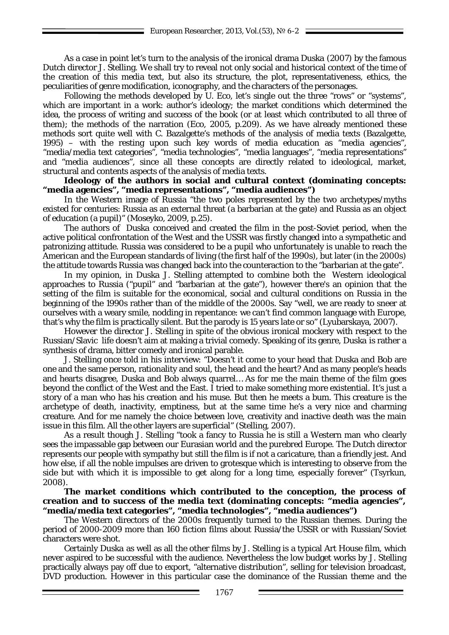As a case in point let's turn to the analysis of the ironical drama *Duska* (2007) by the famous Dutch director J. Stelling. We shall try to reveal not only social and historical context of the time of the creation of this media text, but also its structure, the plot, representativeness, ethics, the peculiarities of genre modification, iconography, and the characters of the personages.

Following the methods developed by  $\overline{U}$ . Eco, let's single out the three "rows" or "systems", which are important in a work: author's ideology; the market conditions which determined the idea, the process of writing and success of the book (or at least which contributed to all three of them); the methods of the narration (Eco, 2005, p.209). As we have already mentioned these methods sort quite well with C. Bazalgette's methods of the analysis of media texts (Bazalgette, 1995) – with the resting upon such key words of media education as "media agencies", "media/media text categories", "media technologies", "media languages", "media representations" and "media audiences", since all these concepts are directly related to ideological, market, structural and contents aspects of the analysis of media texts.

#### **Ideology of the authors in social and cultural context (dominating concepts: "media agencies", "media representations", "media audiences")**

In the Western image of Russia "the two poles represented by the two archetypes/myths existed for centuries: Russia as an external threat (a barbarian at the gate) and Russia as an object of education (a pupil)" (Moseyko, 2009, p.25).

The authors of *Duska* conceived and created the film in the post-Soviet period, when the active political confrontation of the West and the USSR was firstly changed into a sympathetic and patronizing attitude. Russia was considered to be a pupil who unfortunately is unable to reach the American and the European standards of living (the first half of the 1990s), but later (in the 2000s) the attitude towards Russia was changed back into the counteraction to the "barbarian at the gate".

In my opinion, in *Duska* J. Stelling attempted to combine both the Western ideological approaches to Russia ("pupil" and "barbarian at the gate"), however there's an opinion that the setting of the film is suitable for the economical, social and cultural conditions on Russia in the beginning of the 1990s rather than of the middle of the 2000s. Say "well, we are ready to sneer at ourselves with a weary smile, nodding in repentance: we can't find common language with Europe, that's why the film is practically silent. But the parody is 15 years late or so" (Lyubarskaya, 2007).

However the director J. Stelling in spite of the obvious ironical mockery with respect to the Russian/Slavic life doesn't aim at making a trivial comedy. Speaking of its genre, *Duska* is rather a synthesis of drama, bitter comedy and ironical parable.

J. Stelling once told in his interview: "Doesn't it come to your head that Duska and Bob are one and the same person, rationality and soul, the head and the heart? And as many people's heads and hearts disagree, Duska and Bob always quarrel… As for me the main theme of the film goes beyond the conflict of the West and the East. I tried to make something more existential. It's just a story of a man who has his creation and his muse. But then he meets a bum. This creature is the archetype of death, inactivity, emptiness, but at the same time he's a very nice and charming creature. And for me namely the choice between love, creativity and inactive death was the main issue in this film. All the other layers are superficial" (Stelling, 2007).

As a result though J. Stelling "took a fancy to Russia he is still a Western man who clearly sees the impassable gap between our Eurasian world and the purebred Europe. The Dutch director represents our people with sympathy but still the film is if not a caricature, than a friendly jest. And how else, if all the noble impulses are driven to grotesque which is interesting to observe from the side but with which it is impossible to get along for a long time, especially forever" (Tsyrkun, 2008).

**The market conditions which contributed to the conception, the process of creation and to success of the media text (dominating concepts: "media agencies", "media/media text categories", "media technologies", "media audiences")**

The Western directors of the 2000s frequently turned to the Russian themes. During the period of 2000-2009 more than 160 fiction films about Russia/the USSR or with Russian/Soviet characters were shot.

Certainly *Duska* as well as all the other films by J. Stelling is a typical Art House film, which never aspired to be successful with the audience. Nevertheless the low budget works by J. Stelling practically always pay off due to export, "alternative distribution", selling for television broadcast, DVD production. However in this particular case the dominance of the Russian theme and the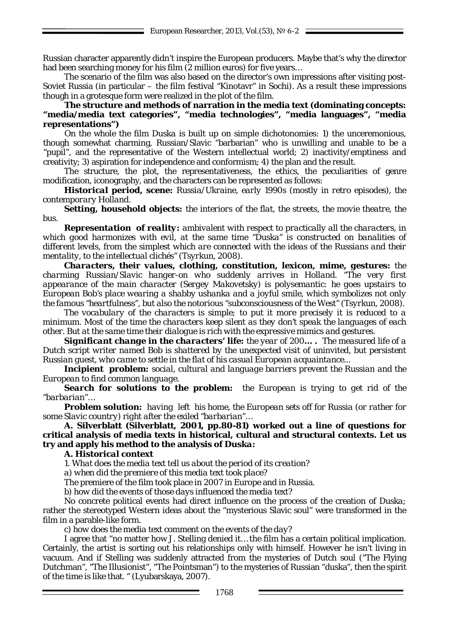Russian character apparently didn't inspire the European producers. Maybe that's why the director had been searching money for his film (2 million euros) for five years…

The scenario of the film was also based on the director's own impressions after visiting post-Soviet Russia (in particular – the film festival "Kinotavr" in Sochi). As a result these impressions though in a grotesque form were realized in the plot of the film.

**The structure and methods of narration in the media text (dominating concepts: "media/media text categories", "media technologies", "media languages", "media representations")**

On the whole the film *Duska* is built up on simple dichotonomies: 1) the unceremonious, though somewhat charming, Russian/Slavic "barbarian" who is unwilling and unable to be a "pupil", and the representative of the Western intellectual world; 2) inactivity/emptiness and creativity; 3) aspiration for independence and conformism; 4) the plan and the result.

The structure, the plot, the representativeness, the ethics, the peculiarities of genre modification, iconography, and the characters can be represented as follows:

*Historical period, scene: Russia/Ukraine, early 1990s (mostly in retro episodes), the contemporary Holland.* 

*Setting, household objects: the interiors of the flat, the streets, the movie theatre, the bus.* 

*Representation of reality: ambivalent with respect to practically all the characters, in which good harmonizes with evil, at the same time "Duska" is constructed on banalities of different levels, from the simplest which are connected with the ideas of the Russians and their mentality, to the intellectual clichés" (Tsyrkun, 2008).*

*Characters, their values, clothing, constitution, lexicon, mime, gestures: the charming Russian/Slavic hanger-on who suddenly arrives in Holland. "The very first appearance of the main character (Sergey Makovetsky) is polysemantic: he goes upstairs to European Bob's place wearing a shabby ushanka and a joyful smile, which symbolizes not only the famous "heartfulness", but also the notorious "subconsciousness of the West" (Tsyrkun, 2008).* 

*The vocabulary of the characters is simple; to put it more precisely it is reduced to a minimum. Most of the time the characters keep silent as they don't speak the languages of each other. But at the same time their dialogue is rich with the expressive mimics and gestures.* 

*Significant change in the characters' life: the year of 200… . The measured life of a Dutch script writer named Bob is shattered by the unexpected visit of uninvited, but persistent Russian guest, who came to settle in the flat of his casual European acquaintance...*

*Incipient problem: social, cultural and language barriers prevent the Russian and the European to find common language.*

*Search for solutions to the problem: the European is trying to get rid of the "barbarian"…* 

*Problem solution: having left his home, the European sets off for Russia (or rather for some Slavic country) right after the exiled "barbarian"…*

**A. Silverblatt (Silverblatt, 2001, pp.80-81) worked out a line of questions for critical analysis of media texts in historical, cultural and structural contexts. Let us try and apply his method to the analysis of** *Duska:*

# *A. Historical context*

*1. What does the media text tell us about the period of its creation?*

*a) when did the premiere of this media text took place?* 

The premiere of the film took place in 2007 in Europe and in Russia.

*b) how did the events of those days influenced the media text?* 

No concrete political events had direct influence on the process of the creation of *Duska;* rather the stereotyped Western ideas about the "mysterious Slavic soul" were transformed in the film in a parable-like form.

*c) how does the media text comment on the events of the day?*

I agree that "no matter how J. Stelling denied it… the film has a certain political implication. Certainly, the artist is sorting out his relationships only with himself. However he isn't living in vacuum. And if Stelling was suddenly attracted from the mysteries of Dutch soul ("The Flying Dutchman", "The Illusionist", "The Pointsman") to the mysteries of Russian "duska", then the spirit of the time is like that. " (Lyubarskaya, 2007).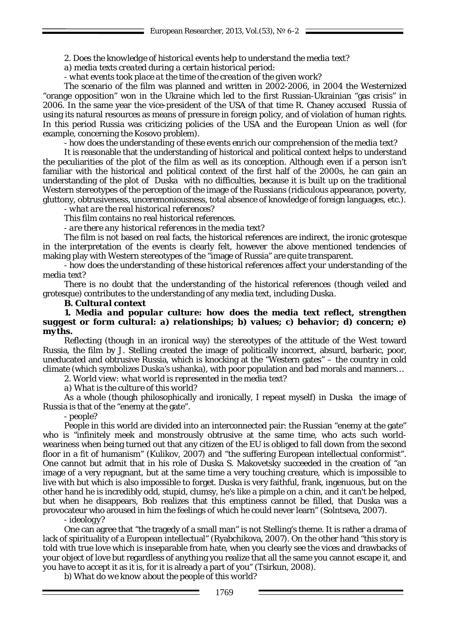*2. Does the knowledge of historical events help to understand the media text?*

*a) media texts created during a certain historical period:*

*- what events took place at the time of the creation of the given work?*

The scenario of the film was planned and written in 2002-2006, in 2004 the Westernized "orange opposition" won in the Ukraine which led to the first Russian-Ukrainian "gas crisis" in 2006. In the same year the vice-president of the USA of that time R. Chaney accused Russia of using its natural resources as means of pressure in foreign policy, and of violation of human rights. In this period Russia was criticizing policies of the USA and the European Union as well (for example, concerning the Kosovo problem).

- *how does the understanding of these events enrich our comprehension of the media text?*

It is reasonable that the understanding of historical and political context helps to understand the peculiarities of the plot of the film as well as its conception. Although even if a person isn't familiar with the historical and political context of the first half of the 2000s, he can gain an understanding of the plot of *Duska* with no difficulties, because it is built up on the traditional Western stereotypes of the perception of the image of the Russians (ridiculous appearance, poverty, gluttony, obtrusiveness, unceremoniousness, total absence of knowledge of foreign languages, etc.).

*- what are the real historical references?*

This film contains no real historical references.

*- are there any historical references in the media text?*

The film is not based on real facts, the historical references are indirect, the ironic grotesque in the interpretation of the events is clearly felt, however the above mentioned tendencies of making play with Western stereotypes of the "image of Russia" are quite transparent.

*- how does the understanding of these historical references affect your understanding of the media text?*

There is no doubt that the understanding of the historical references (though veiled and grotesque) contributes to the understanding of any media text, including *Duska.*

## *B. Cultural context*

#### *1. Media and popular culture: how does the media text reflect, strengthen suggest or form cultural: a) relationships; b) values; c) behavior; d) concern; e) myths.*

Reflecting (though in an ironical way) the stereotypes of the attitude of the West toward Russia, the film by J. Stelling created the image of politically incorrect, absurd, barbaric, poor, uneducated and obtrusive Russia, which is knocking at the "Western gates" – the country in cold climate (which symbolizes Duska's ushanka), with poor population and bad morals and manners…

*2. World view: what world is represented in the media text?*

*a) What is the culture of this world?*

As a whole (though philosophically and ironically, I repeat myself) in *Duska* the image of Russia is that of the "enemy at the gate".

*- people?*

People in this world are divided into an interconnected pair: the Russian "enemy at the gate" who is "infinitely meek and monstrously obtrusive at the same time, who acts such worldweariness when being turned out that any citizen of the EU is obliged to fall down from the second floor in a fit of humanism" (Kulikov, 2007) and "the suffering European intellectual conformist". One cannot but admit that in his role of Duska S. Makovetsky succeeded in the creation of "an image of a very repugnant, but at the same time a very touching creature, which is impossible to live with but which is also impossible to forget. Duska is very faithful, frank, ingenuous, but on the other hand he is incredibly odd, stupid, clumsy, he's like a pimple on a chin, and it can't be helped, but when he disappears, Bob realizes that this emptiness cannot be filled, that Duska was a provocateur who aroused in him the feelings of which he could never learn" (Solntseva, 2007).

*- ideology?*

One can agree that "the tragedy of a small man" is not Stelling's theme. It is rather a drama of lack of spirituality of a European intellectual" (Ryabchikova, 2007). On the other hand "this story is told with true love which is inseparable from hate, when you clearly see the vices and drawbacks of your object of love but regardless of anything you realize that all the same you cannot escape it, and you have to accept it as it is, for it is already a part of you" (Tsirkun, 2008).

*b) What do we know about the people of this world?*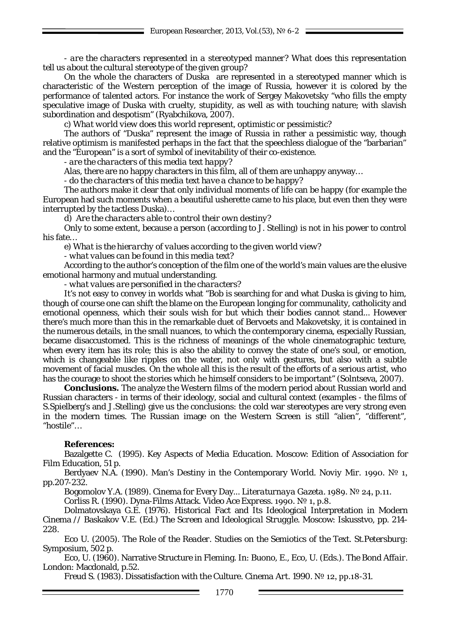*- are the characters represented in a stereotyped manner? What does this representation tell us about the cultural stereotype of the given group?*

On the whole the characters of *Duska* are represented in a stereotyped manner which is characteristic of the Western perception of the image of Russia, however it is colored by the performance of talented actors. For instance the work of Sergey Makovetsky "who fills the empty speculative image of Duska with cruelty, stupidity, as well as with touching nature; with slavish subordination and despotism" (Ryabchikova, 2007).

*c) What world view does this world represent, optimistic or pessimistic?*

The authors of "Duska" represent the image of Russia in rather a pessimistic way, though relative optimism is manifested perhaps in the fact that the speechless dialogue of the "barbarian" and the "European" is a sort of symbol of inevitability of their co-existence.

*- are the characters of this media text happy?*

Alas, there are no happy characters in this film, all of them are unhappy anyway…

*- do the characters of this media text have a chance to be happy?*

The authors make it clear that only individual moments of life can be happy (for example the European had such moments when a beautiful usherette came to his place, but even then they were interrupted by the tactless Duska)…

*d) Are the characters able to control their own destiny?*

Only to some extent, because a person (according to J. Stelling) is not in his power to control his fate…

*e) What is the hierarchy of values according to the given world view?*

*- what values can be found in this media text?*

According to the author's conception of the film one of the world's main values are the elusive emotional harmony and mutual understanding.

*- what values are personified in the characters?*

It's not easy to convey in worlds what "Bob is searching for and what Duska is giving to him, though of course one can shift the blame on the European longing for communality, catholicity and emotional openness, which their souls wish for but which their bodies cannot stand... However there's much more than this in the remarkable duet of Bervoets and Makovetsky, it is contained in the numerous details, in the small nuances, to which the contemporary cinema, especially Russian, became disaccustomed. This is the richness of meanings of the whole cinematographic texture, when every item has its role; this is also the ability to convey the state of one's soul, or emotion, which is changeable like ripples on the water, not only with gestures, but also with a subtle movement of facial muscles. On the whole all this is the result of the efforts of a serious artist, who has the courage to shoot the stories which he himself considers to be important" (Solntseva, 2007).

**Conclusions.** The analyze the Western films of the modern period about Russian world and Russian characters - in terms of their ideology, social and cultural context (examples - the films of S.Spielberg's and J.Stelling) give us the conclusions: the cold war stereotypes are very strong even in the modern times. The Russian image on the Western Screen is still "alien", "different", "hostile"…

#### **References:**

Bazalgette C. (1995). *Key Aspects of Media Education.* Moscow: Edition of Association for Film Education, 51 p.

Berdyaev N.A. (1990). Man's Destiny in the Contemporary World. *Noviy Mir.* 1990. № 1, pp.207-232.

Bogomolov Y.A. (1989). Cinema for Every Day... *Literaturnaya Gazeta.* 1989. № 24, p.11.

Corliss R. (1990). Dyna-Films Attack. *Video Ace Express.* 1990. № 1, p.8.

Dolmatovskaya G.E. (1976). Historical Fact and Its Ideological Interpretation in Modern Cinema // Baskakov V.E. (Ed.) *The Screen and Ideological Struggle*. Moscow: Iskusstvo, pp. 214- 228.

Eco U. (2005). *The Role of the Reader. Studies on the Semiotics of the Text. St.Petersburg*: Symposium, 502 p.

Eco, U. (1960). Narrative Structure in Fleming. In: Buono, E., Eco, U. (Eds.). *The Bond Affair.* London: Macdonald, p.52.

Freud S. (1983). Dissatisfaction with the Culture. *Cinema Art.* 1990. № 12, pp.18-31.